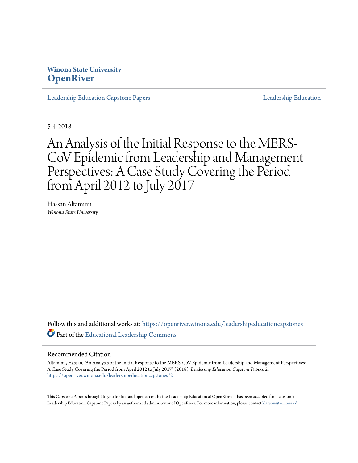# **Winona State University [OpenRiver](https://openriver.winona.edu?utm_source=openriver.winona.edu%2Fleadershipeducationcapstones%2F2&utm_medium=PDF&utm_campaign=PDFCoverPages)**

[Leadership Education Capstone Papers](https://openriver.winona.edu/leadershipeducationcapstones?utm_source=openriver.winona.edu%2Fleadershipeducationcapstones%2F2&utm_medium=PDF&utm_campaign=PDFCoverPages) [Leadership Education](https://openriver.winona.edu/leadershipeducation?utm_source=openriver.winona.edu%2Fleadershipeducationcapstones%2F2&utm_medium=PDF&utm_campaign=PDFCoverPages)

5-4-2018

An Analysis of the Initial Response to the MERS-CoV Epidemic from Leadership and Management Perspectives: A Case Study Covering the Period from April 2012 to July 2017

Hassan Altamimi *Winona State University*

Follow this and additional works at: [https://openriver.winona.edu/leadershipeducationcapstones](https://openriver.winona.edu/leadershipeducationcapstones?utm_source=openriver.winona.edu%2Fleadershipeducationcapstones%2F2&utm_medium=PDF&utm_campaign=PDFCoverPages) Part of the [Educational Leadership Commons](http://network.bepress.com/hgg/discipline/1230?utm_source=openriver.winona.edu%2Fleadershipeducationcapstones%2F2&utm_medium=PDF&utm_campaign=PDFCoverPages)

#### Recommended Citation

Altamimi, Hassan, "An Analysis of the Initial Response to the MERS-CoV Epidemic from Leadership and Management Perspectives: A Case Study Covering the Period from April 2012 to July 2017" (2018). *Leadership Education Capstone Papers*. 2. [https://openriver.winona.edu/leadershipeducationcapstones/2](https://openriver.winona.edu/leadershipeducationcapstones/2?utm_source=openriver.winona.edu%2Fleadershipeducationcapstones%2F2&utm_medium=PDF&utm_campaign=PDFCoverPages)

This Capstone Paper is brought to you for free and open access by the Leadership Education at OpenRiver. It has been accepted for inclusion in Leadership Education Capstone Papers by an authorized administrator of OpenRiver. For more information, please contact [klarson@winona.edu.](mailto:klarson@winona.edu)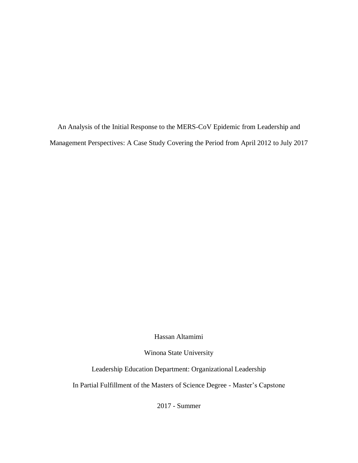An Analysis of the Initial Response to the MERS-CoV Epidemic from Leadership and Management Perspectives: A Case Study Covering the Period from April 2012 to July 2017

Hassan Altamimi

Winona State University

Leadership Education Department: Organizational Leadership

In Partial Fulfillment of the Masters of Science Degree - Master's Capstone

2017 - Summer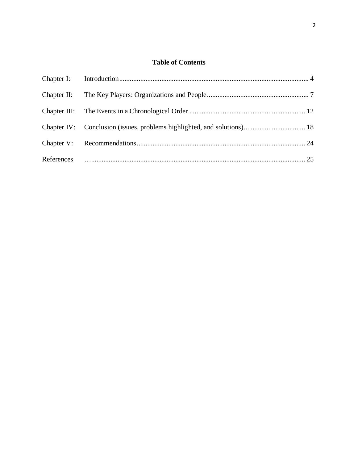# **Table of Contents**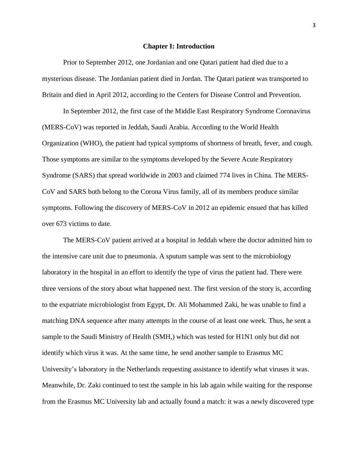#### **Chapter I: Introduction**

Prior to September 2012, one Jordanian and one Qatari patient had died due to a mysterious disease. The Jordanian patient died in Jordan. The Qatari patient was transported to Britain and died in April 2012, according to the Centers for Disease Control and Prevention.

In September 2012, the first case of the Middle East Respiratory Syndrome Coronavirus (MERS-CoV) was reported in Jeddah, Saudi Arabia. According to the World Health Organization (WHO), the patient had typical symptoms of shortness of breath, fever, and cough. Those symptoms are similar to the symptoms developed by the Severe Acute Respiratory Syndrome (SARS) that spread worldwide in 2003 and claimed 774 lives in China. The MERS-CoV and SARS both belong to the Corona Virus family, all of its members produce similar symptoms. Following the discovery of MERS-CoV in 2012 an epidemic ensued that has killed over 673 victims to date.

The MERS-CoV patient arrived at a hospital in Jeddah where the doctor admitted him to the intensive care unit due to pneumonia. A sputum sample was sent to the microbiology laboratory in the hospital in an effort to identify the type of virus the patient had. There were three versions of the story about what happened next. The first version of the story is, according to the expatriate microbiologist from Egypt, Dr. Ali Mohammed Zaki, he was unable to find a matching DNA sequence after many attempts in the course of at least one week. Thus, he sent a sample to the Saudi Ministry of Health (SMH,) which was tested for H1N1 only but did not identify which virus it was. At the same time, he send another sample to Erasmus MC University's laboratory in the Netherlands requesting assistance to identify what viruses it was. Meanwhile, Dr. Zaki continued to test the sample in his lab again while waiting for the response from the Erasmus MC University lab and actually found a match: it was a newly discovered type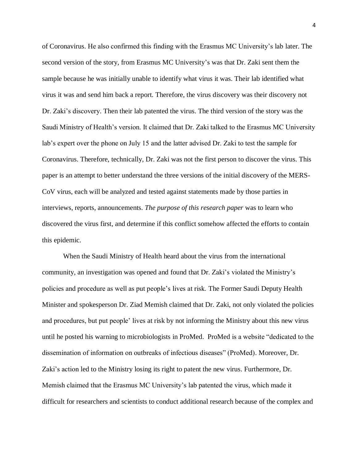of Coronavirus. He also confirmed this finding with the Erasmus MC University's lab later. The second version of the story, from Erasmus MC University's was that Dr. Zaki sent them the sample because he was initially unable to identify what virus it was. Their lab identified what virus it was and send him back a report. Therefore, the virus discovery was their discovery not Dr. Zaki's discovery. Then their lab patented the virus. The third version of the story was the Saudi Ministry of Health's version. It claimed that Dr. Zaki talked to the Erasmus MC University lab's expert over the phone on July 15 and the latter advised Dr. Zaki to test the sample for Coronavirus. Therefore, technically, Dr. Zaki was not the first person to discover the virus. This paper is an attempt to better understand the three versions of the initial discovery of the MERS-CoV virus, each will be analyzed and tested against statements made by those parties in interviews, reports, announcements. *The purpose of this research paper* was to learn who discovered the virus first, and determine if this conflict somehow affected the efforts to contain this epidemic.

When the Saudi Ministry of Health heard about the virus from the international community, an investigation was opened and found that Dr. Zaki's violated the Ministry's policies and procedure as well as put people's lives at risk. The Former Saudi Deputy Health Minister and spokesperson Dr. Ziad Memish claimed that Dr. Zaki, not only violated the policies and procedures, but put people' lives at risk by not informing the Ministry about this new virus until he posted his warning to microbiologists in ProMed. ProMed is a website "dedicated to the dissemination of information on outbreaks of infectious diseases" (ProMed). Moreover, Dr. Zaki's action led to the Ministry losing its right to patent the new virus. Furthermore, Dr. Memish claimed that the Erasmus MC University's lab patented the virus, which made it difficult for researchers and scientists to conduct additional research because of the complex and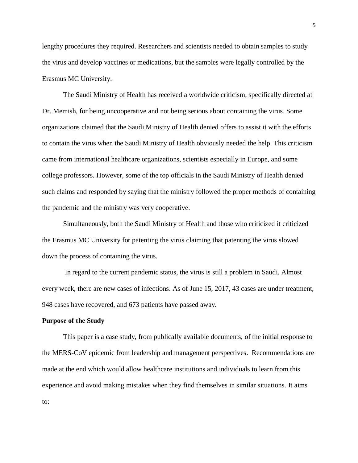lengthy procedures they required. Researchers and scientists needed to obtain samples to study the virus and develop vaccines or medications, but the samples were legally controlled by the Erasmus MC University.

The Saudi Ministry of Health has received a worldwide criticism, specifically directed at Dr. Memish, for being uncooperative and not being serious about containing the virus. Some organizations claimed that the Saudi Ministry of Health denied offers to assist it with the efforts to contain the virus when the Saudi Ministry of Health obviously needed the help. This criticism came from international healthcare organizations, scientists especially in Europe, and some college professors. However, some of the top officials in the Saudi Ministry of Health denied such claims and responded by saying that the ministry followed the proper methods of containing the pandemic and the ministry was very cooperative.

Simultaneously, both the Saudi Ministry of Health and those who criticized it criticized the Erasmus MC University for patenting the virus claiming that patenting the virus slowed down the process of containing the virus.

In regard to the current pandemic status, the virus is still a problem in Saudi. Almost every week, there are new cases of infections. As of June 15, 2017, 43 cases are under treatment, 948 cases have recovered, and 673 patients have passed away.

#### **Purpose of the Study**

This paper is a case study, from publically available documents, of the initial response to the MERS-CoV epidemic from leadership and management perspectives. Recommendations are made at the end which would allow healthcare institutions and individuals to learn from this experience and avoid making mistakes when they find themselves in similar situations. It aims to: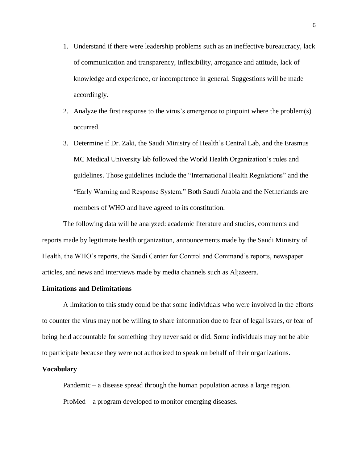- 1. Understand if there were leadership problems such as an ineffective bureaucracy, lack of communication and transparency, inflexibility, arrogance and attitude, lack of knowledge and experience, or incompetence in general. Suggestions will be made accordingly.
- 2. Analyze the first response to the virus's emergence to pinpoint where the problem(s) occurred.
- 3. Determine if Dr. Zaki, the Saudi Ministry of Health's Central Lab, and the Erasmus MC Medical University lab followed the World Health Organization's rules and guidelines. Those guidelines include the "International Health Regulations" and the "Early Warning and Response System." Both Saudi Arabia and the Netherlands are members of WHO and have agreed to its constitution.

The following data will be analyzed: academic literature and studies, comments and reports made by legitimate health organization, announcements made by the Saudi Ministry of Health, the WHO's reports, the Saudi Center for Control and Command's reports, newspaper articles, and news and interviews made by media channels such as Aljazeera.

## **Limitations and Delimitations**

A limitation to this study could be that some individuals who were involved in the efforts to counter the virus may not be willing to share information due to fear of legal issues, or fear of being held accountable for something they never said or did. Some individuals may not be able to participate because they were not authorized to speak on behalf of their organizations.

#### **Vocabulary**

Pandemic – a disease spread through the human population across a large region. ProMed – a program developed to monitor emerging diseases.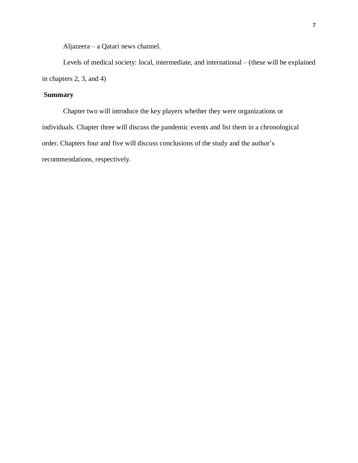Aljazeera – a Qatari news channel.

Levels of medical society: local, intermediate, and international – (these will be explained in chapters 2, 3, and 4)

## **Summary**

Chapter two will introduce the key players whether they were organizations or individuals. Chapter three will discuss the pandemic events and list them in a chronological order. Chapters four and five will discuss conclusions of the study and the author's recommendations, respectively.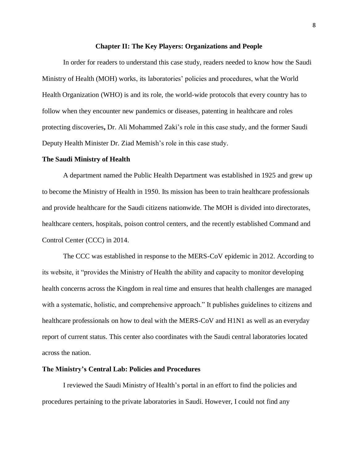#### **Chapter II: The Key Players: Organizations and People**

In order for readers to understand this case study, readers needed to know how the Saudi Ministry of Health (MOH) works, its laboratories' policies and procedures, what the World Health Organization (WHO) is and its role, the world-wide protocols that every country has to follow when they encounter new pandemics or diseases, patenting in healthcare and roles protecting discoveries**,** Dr. Ali Mohammed Zaki's role in this case study, and the former Saudi Deputy Health Minister Dr. Ziad Memish's role in this case study.

## **The Saudi Ministry of Health**

A department named the Public Health Department was established in 1925 and grew up to become the Ministry of Health in 1950. Its mission has been to train healthcare professionals and provide healthcare for the Saudi citizens nationwide. The MOH is divided into directorates, healthcare centers, hospitals, poison control centers, and the recently established Command and Control Center (CCC) in 2014.

The CCC was established in response to the MERS-CoV epidemic in 2012. According to its website, it "provides the Ministry of Health the ability and capacity to monitor developing health concerns across the Kingdom in real time and ensures that health challenges are managed with a systematic, holistic, and comprehensive approach." It publishes guidelines to citizens and healthcare professionals on how to deal with the MERS-CoV and H1N1 as well as an everyday report of current status. This center also coordinates with the Saudi central laboratories located across the nation.

#### **The Ministry's Central Lab: Policies and Procedures**

I reviewed the Saudi Ministry of Health's portal in an effort to find the policies and procedures pertaining to the private laboratories in Saudi. However, I could not find any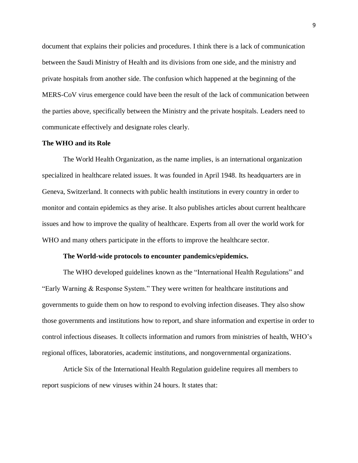document that explains their policies and procedures. I think there is a lack of communication between the Saudi Ministry of Health and its divisions from one side, and the ministry and private hospitals from another side. The confusion which happened at the beginning of the MERS-CoV virus emergence could have been the result of the lack of communication between the parties above, specifically between the Ministry and the private hospitals. Leaders need to communicate effectively and designate roles clearly.

#### **The WHO and its Role**

The World Health Organization, as the name implies, is an international organization specialized in healthcare related issues. It was founded in April 1948. Its headquarters are in Geneva, Switzerland. It connects with public health institutions in every country in order to monitor and contain epidemics as they arise. It also publishes articles about current healthcare issues and how to improve the quality of healthcare. Experts from all over the world work for WHO and many others participate in the efforts to improve the healthcare sector.

#### **The World-wide protocols to encounter pandemics/epidemics.**

The WHO developed guidelines known as the "International Health Regulations" and "Early Warning & Response System." They were written for healthcare institutions and governments to guide them on how to respond to evolving infection diseases. They also show those governments and institutions how to report, and share information and expertise in order to control infectious diseases. It collects information and rumors from ministries of health, WHO's regional offices, laboratories, academic institutions, and nongovernmental organizations.

Article Six of the International Health Regulation guideline requires all members to report suspicions of new viruses within 24 hours. It states that: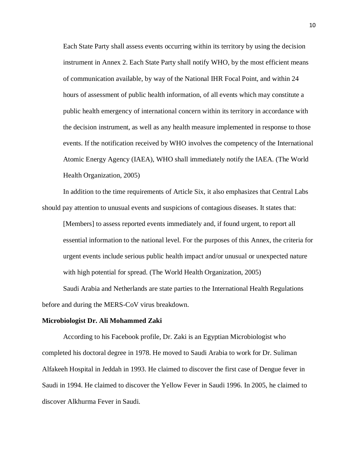Each State Party shall assess events occurring within its territory by using the decision instrument in Annex 2. Each State Party shall notify WHO, by the most efficient means of communication available, by way of the National IHR Focal Point, and within 24 hours of assessment of public health information, of all events which may constitute a public health emergency of international concern within its territory in accordance with the decision instrument, as well as any health measure implemented in response to those events. If the notification received by WHO involves the competency of the International Atomic Energy Agency (IAEA), WHO shall immediately notify the IAEA. (The World Health Organization, 2005)

In addition to the time requirements of Article Six, it also emphasizes that Central Labs should pay attention to unusual events and suspicions of contagious diseases. It states that:

[Members] to assess reported events immediately and, if found urgent, to report all essential information to the national level. For the purposes of this Annex, the criteria for urgent events include serious public health impact and/or unusual or unexpected nature with high potential for spread. (The World Health Organization, 2005)

Saudi Arabia and Netherlands are state parties to the International Health Regulations before and during the MERS-CoV virus breakdown.

#### **Microbiologist Dr. Ali Mohammed Zaki**

According to his Facebook profile, Dr. Zaki is an Egyptian Microbiologist who completed his doctoral degree in 1978. He moved to Saudi Arabia to work for Dr. Suliman Alfakeeh Hospital in Jeddah in 1993. He claimed to discover the first case of Dengue fever in Saudi in 1994. He claimed to discover the Yellow Fever in Saudi 1996. In 2005, he claimed to discover Alkhurma Fever in Saudi.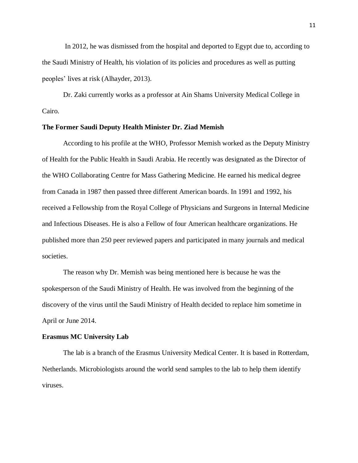In 2012, he was dismissed from the hospital and deported to Egypt due to, according to the Saudi Ministry of Health, his violation of its policies and procedures as well as putting peoples' lives at risk (Alhayder, 2013).

Dr. Zaki currently works as a professor at Ain Shams University Medical College in Cairo.

#### **The Former Saudi Deputy Health Minister Dr. Ziad Memish**

According to his profile at the WHO, Professor Memish worked as the Deputy Ministry of Health for the Public Health in Saudi Arabia. He recently was designated as the Director of the WHO Collaborating Centre for Mass Gathering Medicine. He earned his medical degree from Canada in 1987 then passed three different American boards. In 1991 and 1992, his received a Fellowship from the Royal College of Physicians and Surgeons in Internal Medicine and Infectious Diseases. He is also a Fellow of four American healthcare organizations. He published more than 250 peer reviewed papers and participated in many journals and medical societies.

The reason why Dr. Memish was being mentioned here is because he was the spokesperson of the Saudi Ministry of Health. He was involved from the beginning of the discovery of the virus until the Saudi Ministry of Health decided to replace him sometime in April or June 2014.

## **Erasmus MC University Lab**

The lab is a branch of the Erasmus University Medical Center. It is based in Rotterdam, Netherlands. Microbiologists around the world send samples to the lab to help them identify viruses.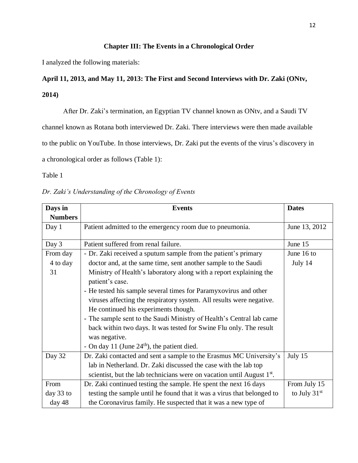## **Chapter III: The Events in a Chronological Order**

I analyzed the following materials:

# **April 11, 2013, and May 11, 2013: The First and Second Interviews with Dr. Zaki (ONtv, 2014)**

After Dr. Zaki's termination, an Egyptian TV channel known as ONtv, and a Saudi TV

channel known as Rotana both interviewed Dr. Zaki. There interviews were then made available

to the public on YouTube. In those interviews, Dr. Zaki put the events of the virus's discovery in

a chronological order as follows (Table 1):

Table 1

|  | Dr. Zaki's Understanding of the Chronology of Events |  |  |
|--|------------------------------------------------------|--|--|
|  |                                                      |  |  |

| Days in        | <b>Events</b>                                                                         | <b>Dates</b>   |
|----------------|---------------------------------------------------------------------------------------|----------------|
| <b>Numbers</b> |                                                                                       |                |
| Day 1          | Patient admitted to the emergency room due to pneumonia.                              | June 13, 2012  |
| Day 3          | Patient suffered from renal failure.                                                  | June 15        |
| From day       | - Dr. Zaki received a sputum sample from the patient's primary                        | June 16 to     |
| 4 to day       | doctor and, at the same time, sent another sample to the Saudi                        | July 14        |
| 31             | Ministry of Health's laboratory along with a report explaining the<br>patient's case. |                |
|                | - He tested his sample several times for Paramyxovirus and other                      |                |
|                | viruses affecting the respiratory system. All results were negative.                  |                |
|                | He continued his experiments though.                                                  |                |
|                | - The sample sent to the Saudi Ministry of Health's Central lab came                  |                |
|                | back within two days. It was tested for Swine Flu only. The result                    |                |
|                | was negative.                                                                         |                |
|                | - On day 11 (June $24th$ ), the patient died.                                         |                |
| Day 32         | Dr. Zaki contacted and sent a sample to the Erasmus MC University's                   | July 15        |
|                | lab in Netherland. Dr. Zaki discussed the case with the lab top                       |                |
|                | scientist, but the lab technicians were on vacation until August 1 <sup>st</sup> .    |                |
| From           | Dr. Zaki continued testing the sample. He spent the next 16 days                      | From July 15   |
| day 33 to      | testing the sample until he found that it was a virus that belonged to                | to July $31st$ |
| day 48         | the Coronavirus family. He suspected that it was a new type of                        |                |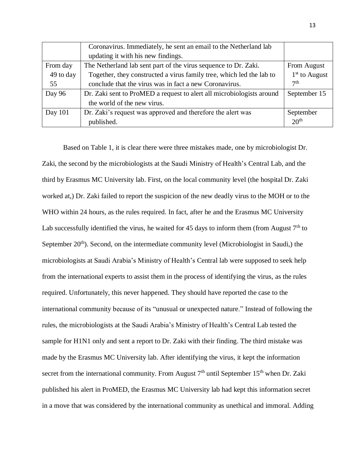|           | Coronavirus. Immediately, he sent an email to the Netherland lab      |                  |
|-----------|-----------------------------------------------------------------------|------------------|
|           | updating it with his new findings.                                    |                  |
| From day  | The Netherland lab sent part of the virus sequence to Dr. Zaki.       | From August      |
| 49 to day | Together, they constructed a virus family tree, which led the lab to  | $1st$ to August  |
| 55        | conclude that the virus was in fact a new Coronavirus.                | 7 <sup>th</sup>  |
| Day 96    | Dr. Zaki sent to ProMED a request to alert all microbiologists around | September 15     |
|           | the world of the new virus.                                           |                  |
| Day $101$ | Dr. Zaki's request was approved and therefore the alert was           | September        |
|           | published.                                                            | 20 <sup>th</sup> |

Based on Table 1, it is clear there were three mistakes made, one by microbiologist Dr. Zaki, the second by the microbiologists at the Saudi Ministry of Health's Central Lab, and the third by Erasmus MC University lab. First, on the local community level (the hospital Dr. Zaki worked at,) Dr. Zaki failed to report the suspicion of the new deadly virus to the MOH or to the WHO within 24 hours, as the rules required. In fact, after he and the Erasmus MC University Lab successfully identified the virus, he waited for 45 days to inform them (from August  $7<sup>th</sup>$  to September  $20<sup>th</sup>$ ). Second, on the intermediate community level (Microbiologist in Saudi,) the microbiologists at Saudi Arabia's Ministry of Health's Central lab were supposed to seek help from the international experts to assist them in the process of identifying the virus, as the rules required. Unfortunately, this never happened. They should have reported the case to the international community because of its "unusual or unexpected nature." Instead of following the rules, the microbiologists at the Saudi Arabia's Ministry of Health's Central Lab tested the sample for H1N1 only and sent a report to Dr. Zaki with their finding. The third mistake was made by the Erasmus MC University lab. After identifying the virus, it kept the information secret from the international community. From August  $7<sup>th</sup>$  until September 15<sup>th</sup> when Dr. Zaki published his alert in ProMED, the Erasmus MC University lab had kept this information secret in a move that was considered by the international community as unethical and immoral. Adding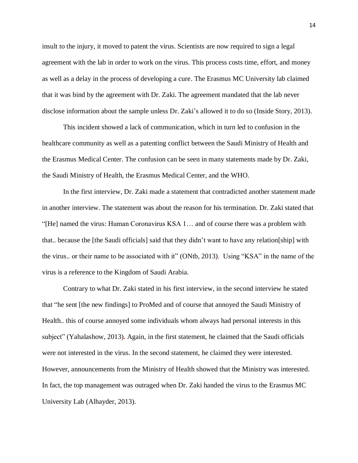insult to the injury, it moved to patent the virus. Scientists are now required to sign a legal agreement with the lab in order to work on the virus. This process costs time, effort, and money as well as a delay in the process of developing a cure. The Erasmus MC University lab claimed that it was bind by the agreement with Dr. Zaki. The agreement mandated that the lab never disclose information about the sample unless Dr. Zaki's allowed it to do so (Inside Story, 2013).

This incident showed a lack of communication, which in turn led to confusion in the healthcare community as well as a patenting conflict between the Saudi Ministry of Health and the Erasmus Medical Center. The confusion can be seen in many statements made by Dr. Zaki, the Saudi Ministry of Health, the Erasmus Medical Center, and the WHO.

In the first interview, Dr. Zaki made a statement that contradicted another statement made in another interview. The statement was about the reason for his termination. Dr. Zaki stated that "[He] named the virus: Human Coronavirus KSA 1… and of course there was a problem with that.. because the [the Saudi officials] said that they didn't want to have any relation[ship] with the virus.. or their name to be associated with it" (ONtb, 2013). Using "KSA" in the name of the virus is a reference to the Kingdom of Saudi Arabia.

Contrary to what Dr. Zaki stated in his first interview, in the second interview he stated that "he sent [the new findings] to ProMed and of course that annoyed the Saudi Ministry of Health.. this of course annoyed some individuals whom always had personal interests in this subject" (Yahalashow, 2013)**.** Again, in the first statement, he claimed that the Saudi officials were not interested in the virus. In the second statement, he claimed they were interested. However, announcements from the Ministry of Health showed that the Ministry was interested. In fact, the top management was outraged when Dr. Zaki handed the virus to the Erasmus MC University Lab (Alhayder, 2013).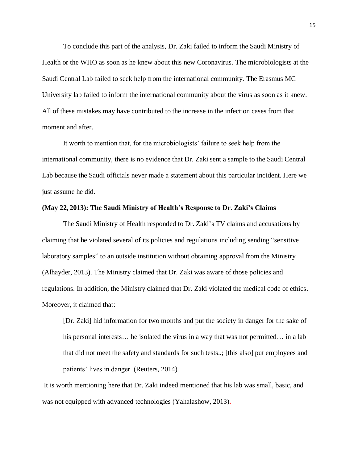To conclude this part of the analysis, Dr. Zaki failed to inform the Saudi Ministry of Health or the WHO as soon as he knew about this new Coronavirus. The microbiologists at the Saudi Central Lab failed to seek help from the international community. The Erasmus MC University lab failed to inform the international community about the virus as soon as it knew. All of these mistakes may have contributed to the increase in the infection cases from that moment and after.

It worth to mention that, for the microbiologists' failure to seek help from the international community, there is no evidence that Dr. Zaki sent a sample to the Saudi Central Lab because the Saudi officials never made a statement about this particular incident. Here we just assume he did.

#### **(May 22, 2013): The Saudi Ministry of Health's Response to Dr. Zaki's Claims**

The Saudi Ministry of Health responded to Dr. Zaki's TV claims and accusations by claiming that he violated several of its policies and regulations including sending "sensitive laboratory samples" to an outside institution without obtaining approval from the Ministry (Alhayder, 2013). The Ministry claimed that Dr. Zaki was aware of those policies and regulations. In addition, the Ministry claimed that Dr. Zaki violated the medical code of ethics. Moreover, it claimed that:

[Dr. Zaki] hid information for two months and put the society in danger for the sake of his personal interests... he isolated the virus in a way that was not permitted... in a lab that did not meet the safety and standards for such tests..; [this also] put employees and patients' lives in danger. (Reuters, 2014)

It is worth mentioning here that Dr. Zaki indeed mentioned that his lab was small, basic, and was not equipped with advanced technologies (Yahalashow, 2013)**.**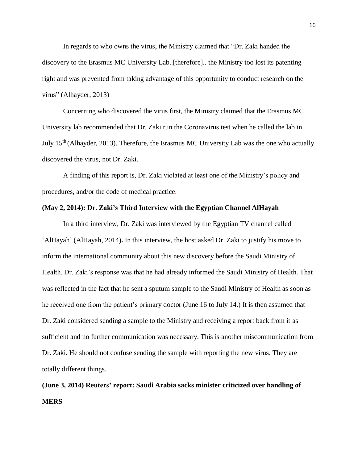In regards to who owns the virus, the Ministry claimed that "Dr. Zaki handed the discovery to the Erasmus MC University Lab..[therefore].. the Ministry too lost its patenting right and was prevented from taking advantage of this opportunity to conduct research on the virus" (Alhayder, 2013)

Concerning who discovered the virus first, the Ministry claimed that the Erasmus MC University lab recommended that Dr. Zaki run the Coronavirus test when he called the lab in July 15th (Alhayder, 2013). Therefore, the Erasmus MC University Lab was the one who actually discovered the virus, not Dr. Zaki.

A finding of this report is, Dr. Zaki violated at least one of the Ministry's policy and procedures, and/or the code of medical practice.

#### **(May 2, 2014): Dr. Zaki's Third Interview with the Egyptian Channel AlHayah**

In a third interview, Dr. Zaki was interviewed by the Egyptian TV channel called 'AlHayah' (AlHayah, 2014)**.** In this interview, the host asked Dr. Zaki to justify his move to inform the international community about this new discovery before the Saudi Ministry of Health. Dr. Zaki's response was that he had already informed the Saudi Ministry of Health. That was reflected in the fact that he sent a sputum sample to the Saudi Ministry of Health as soon as he received one from the patient's primary doctor (June 16 to July 14.) It is then assumed that Dr. Zaki considered sending a sample to the Ministry and receiving a report back from it as sufficient and no further communication was necessary. This is another miscommunication from Dr. Zaki. He should not confuse sending the sample with reporting the new virus. They are totally different things.

# **(June 3, 2014) Reuters' report: Saudi Arabia sacks minister criticized over handling of MERS**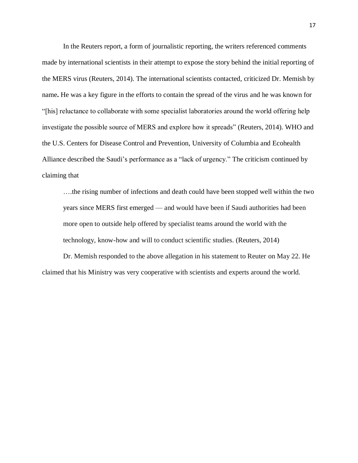In the Reuters report, a form of journalistic reporting, the writers referenced comments made by international scientists in their attempt to expose the story behind the initial reporting of the MERS virus (Reuters, 2014). The international scientists contacted, criticized Dr. Memish by name**.** He was a key figure in the efforts to contain the spread of the virus and he was known for "[his] reluctance to collaborate with some specialist laboratories around the world offering help investigate the possible source of MERS and explore how it spreads" (Reuters, 2014). WHO and the U.S. Centers for Disease Control and Prevention, University of Columbia and Ecohealth Alliance described the Saudi's performance as a "lack of urgency." The criticism continued by claiming that

….the rising number of infections and death could have been stopped well within the two years since MERS first emerged — and would have been if Saudi authorities had been more open to outside help offered by specialist teams around the world with the technology, know-how and will to conduct scientific studies. (Reuters, 2014)

Dr. Memish responded to the above allegation in his statement to Reuter on May 22. He claimed that his Ministry was very cooperative with scientists and experts around the world.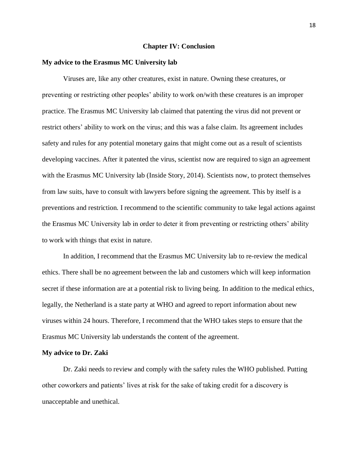#### **Chapter IV: Conclusion**

#### **My advice to the Erasmus MC University lab**

Viruses are, like any other creatures, exist in nature. Owning these creatures, or preventing or restricting other peoples' ability to work on/with these creatures is an improper practice. The Erasmus MC University lab claimed that patenting the virus did not prevent or restrict others' ability to work on the virus; and this was a false claim. Its agreement includes safety and rules for any potential monetary gains that might come out as a result of scientists developing vaccines. After it patented the virus, scientist now are required to sign an agreement with the Erasmus MC University lab (Inside Story, 2014). Scientists now, to protect themselves from law suits, have to consult with lawyers before signing the agreement. This by itself is a preventions and restriction. I recommend to the scientific community to take legal actions against the Erasmus MC University lab in order to deter it from preventing or restricting others' ability to work with things that exist in nature.

In addition, I recommend that the Erasmus MC University lab to re-review the medical ethics. There shall be no agreement between the lab and customers which will keep information secret if these information are at a potential risk to living being. In addition to the medical ethics, legally, the Netherland is a state party at WHO and agreed to report information about new viruses within 24 hours. Therefore, I recommend that the WHO takes steps to ensure that the Erasmus MC University lab understands the content of the agreement.

#### **My advice to Dr. Zaki**

Dr. Zaki needs to review and comply with the safety rules the WHO published. Putting other coworkers and patients' lives at risk for the sake of taking credit for a discovery is unacceptable and unethical.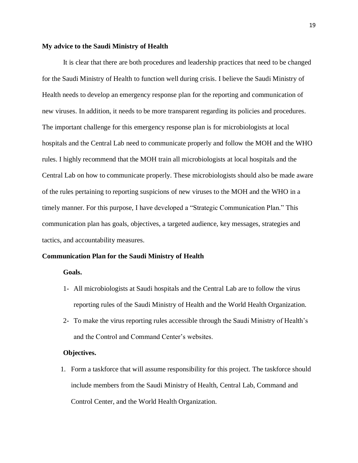#### **My advice to the Saudi Ministry of Health**

It is clear that there are both procedures and leadership practices that need to be changed for the Saudi Ministry of Health to function well during crisis. I believe the Saudi Ministry of Health needs to develop an emergency response plan for the reporting and communication of new viruses. In addition, it needs to be more transparent regarding its policies and procedures. The important challenge for this emergency response plan is for microbiologists at local hospitals and the Central Lab need to communicate properly and follow the MOH and the WHO rules. I highly recommend that the MOH train all microbiologists at local hospitals and the Central Lab on how to communicate properly. These microbiologists should also be made aware of the rules pertaining to reporting suspicions of new viruses to the MOH and the WHO in a timely manner. For this purpose, I have developed a "Strategic Communication Plan." This communication plan has goals, objectives, a targeted audience, key messages, strategies and tactics, and accountability measures.

#### **Communication Plan for the Saudi Ministry of Health**

#### **Goals.**

- 1- All microbiologists at Saudi hospitals and the Central Lab are to follow the virus reporting rules of the Saudi Ministry of Health and the World Health Organization.
- 2- To make the virus reporting rules accessible through the Saudi Ministry of Health's and the Control and Command Center's websites.

#### **Objectives.**

1. Form a taskforce that will assume responsibility for this project. The taskforce should include members from the Saudi Ministry of Health, Central Lab, Command and Control Center, and the World Health Organization.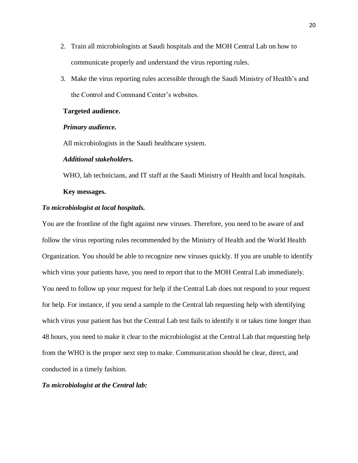- 2. Train all microbiologists at Saudi hospitals and the MOH Central Lab on how to communicate properly and understand the virus reporting rules.
- 3. Make the virus reporting rules accessible through the Saudi Ministry of Health's and the Control and Command Center's websites.

#### **Targeted audience.**

#### *Primary audience.*

All microbiologists in the Saudi healthcare system.

#### *Additional stakeholders.*

WHO, lab technicians, and IT staff at the Saudi Ministry of Health and local hospitals.

#### **Key messages.**

#### *To microbiologist at local hospitals.*

You are the frontline of the fight against new viruses. Therefore, you need to be aware of and follow the virus reporting rules recommended by the Ministry of Health and the World Health Organization. You should be able to recognize new viruses quickly. If you are unable to identify which virus your patients have, you need to report that to the MOH Central Lab immediately. You need to follow up your request for help if the Central Lab does not respond to your request for help. For instance, if you send a sample to the Central lab requesting help with identifying which virus your patient has but the Central Lab test fails to identify it or takes time longer than 48 hours, you need to make it clear to the microbiologist at the Central Lab that requesting help from the WHO is the proper next step to make. Communication should be clear, direct, and conducted in a timely fashion.

### *To microbiologist at the Central lab:*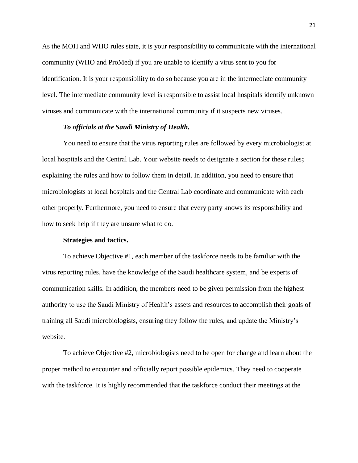As the MOH and WHO rules state, it is your responsibility to communicate with the international community (WHO and ProMed) if you are unable to identify a virus sent to you for identification. It is your responsibility to do so because you are in the intermediate community level. The intermediate community level is responsible to assist local hospitals identify unknown viruses and communicate with the international community if it suspects new viruses.

#### *To officials at the Saudi Ministry of Health.*

You need to ensure that the virus reporting rules are followed by every microbiologist at local hospitals and the Central Lab. Your website needs to designate a section for these rules**;** explaining the rules and how to follow them in detail. In addition, you need to ensure that microbiologists at local hospitals and the Central Lab coordinate and communicate with each other properly. Furthermore, you need to ensure that every party knows its responsibility and how to seek help if they are unsure what to do.

#### **Strategies and tactics.**

To achieve Objective #1, each member of the taskforce needs to be familiar with the virus reporting rules, have the knowledge of the Saudi healthcare system, and be experts of communication skills. In addition, the members need to be given permission from the highest authority to use the Saudi Ministry of Health's assets and resources to accomplish their goals of training all Saudi microbiologists, ensuring they follow the rules, and update the Ministry's website.

To achieve Objective #2, microbiologists need to be open for change and learn about the proper method to encounter and officially report possible epidemics. They need to cooperate with the taskforce. It is highly recommended that the taskforce conduct their meetings at the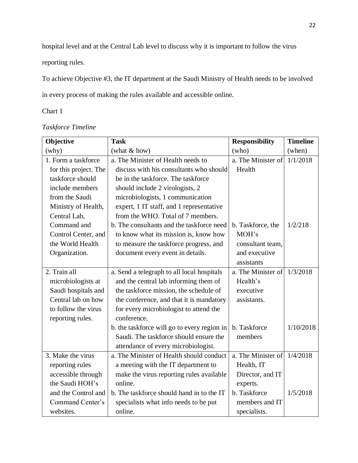hospital level and at the Central Lab level to discuss why it is important to follow the virus

reporting rules.

To achieve Objective #3, the IT department at the Saudi Ministry of Health needs to be involved in every process of making the rules available and accessible online.

Chart 1

| Objective             | <b>Task</b>                                 | <b>Responsibility</b> | <b>Timeline</b> |  |
|-----------------------|---------------------------------------------|-----------------------|-----------------|--|
| (why)                 | (what & how)                                | (who)                 | (when)          |  |
| 1. Form a taskforce   | a. The Minister of Health needs to          | a. The Minister of    | 1/1/2018        |  |
| for this project. The | discuss with his consultants who should     | Health                |                 |  |
| taskforce should      | be in the taskforce. The taskforce          |                       |                 |  |
| include members       | should include 2 virologists, 2             |                       |                 |  |
| from the Saudi        | microbiologists, 1 communication            |                       |                 |  |
| Ministry of Health,   | expert, 1 IT staff, and 1 representative    |                       |                 |  |
| Central Lab,          | from the WHO. Total of 7 members.           |                       |                 |  |
| Command and           | b. The consultants and the taskforce need   | b. Taskforce, the     | 1/2/218         |  |
| Control Center, and   | to know what its mission is, know how       | MOH's                 |                 |  |
| the World Health      | to measure the taskforce progress, and      | consultant team,      |                 |  |
| Organization.         | document every event in details.            | and executive         |                 |  |
|                       |                                             | assistants            |                 |  |
| 2. Train all          | a. Send a telegraph to all local hospitals  | a. The Minister of    | 1/3/2018        |  |
| microbiologists at    | and the central lab informing them of       | Health's              |                 |  |
| Saudi hospitals and   | the taskforce mission, the schedule of      | executive             |                 |  |
| Central lab on how    | the conference, and that it is mandatory    | assistants.           |                 |  |
| to follow the virus   | for every microbiologist to attend the      |                       |                 |  |
| reporting rules.      | conference.                                 |                       |                 |  |
|                       | b. the taskforce will go to every region in | b. Taskforce          | 1/10/2018       |  |
|                       | Saudi. The taskforce should ensure the      | members               |                 |  |
|                       | attendance of every microbiologist.         |                       |                 |  |
| 3. Make the virus     | a. The Minister of Health should conduct    | a. The Minister of    | 1/4/2018        |  |
| reporting rules       | a meeting with the IT department to         | Health, IT            |                 |  |
| accessible through    | make the virus reporting rules available    | Director, and IT      |                 |  |
| the Saudi HOH's       | online.                                     | experts.              |                 |  |
| and the Control and   | b. The taskforce should hand in to the IT   | b. Taskforce          | 1/5/2018        |  |
| Command Center's      | specialists what info needs to be put       | members and IT        |                 |  |
| websites.             | online.                                     | specialists.          |                 |  |

# *Taskforce Timeline*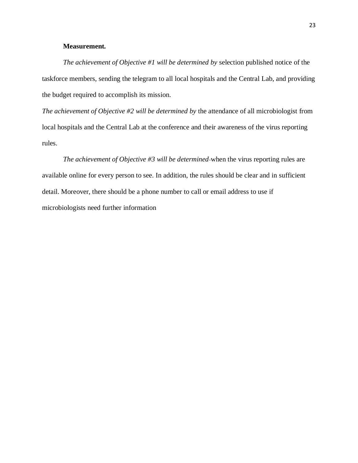## **Measurement***.*

*The achievement of Objective #1 will be determined by* selection published notice of the taskforce members, sending the telegram to all local hospitals and the Central Lab, and providing the budget required to accomplish its mission.

*The achievement of Objective #2 will be determined by* the attendance of all microbiologist from local hospitals and the Central Lab at the conference and their awareness of the virus reporting rules.

*The achievement of Objective #3 will be determined* when the virus reporting rules are available online for every person to see. In addition, the rules should be clear and in sufficient detail. Moreover, there should be a phone number to call or email address to use if microbiologists need further information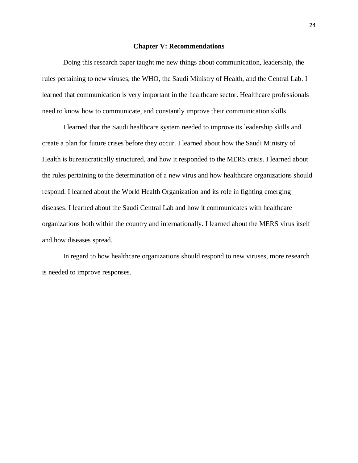#### **Chapter V: Recommendations**

Doing this research paper taught me new things about communication, leadership, the rules pertaining to new viruses, the WHO, the Saudi Ministry of Health, and the Central Lab. I learned that communication is very important in the healthcare sector. Healthcare professionals need to know how to communicate, and constantly improve their communication skills.

I learned that the Saudi healthcare system needed to improve its leadership skills and create a plan for future crises before they occur. I learned about how the Saudi Ministry of Health is bureaucratically structured, and how it responded to the MERS crisis. I learned about the rules pertaining to the determination of a new virus and how healthcare organizations should respond. I learned about the World Health Organization and its role in fighting emerging diseases. I learned about the Saudi Central Lab and how it communicates with healthcare organizations both within the country and internationally. I learned about the MERS virus itself and how diseases spread.

In regard to how healthcare organizations should respond to new viruses, more research is needed to improve responses.